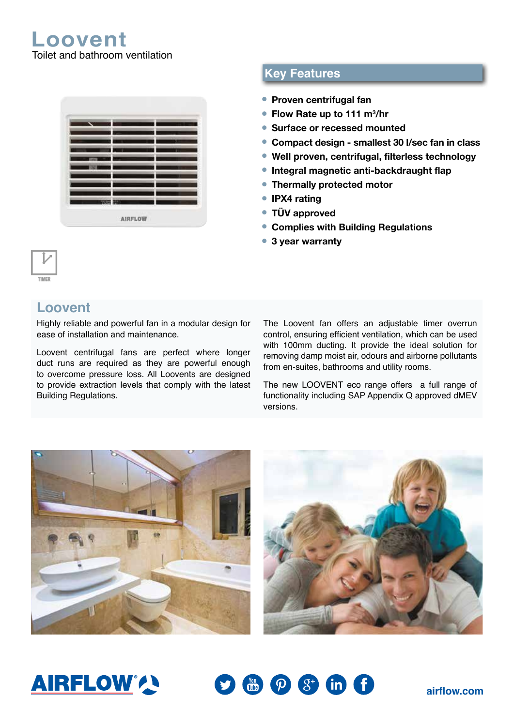**Loovent** Toilet and bathroom ventilation

| a, | ۰ |  |
|----|---|--|

## **Key Features**

- **Proven centrifugal fan**
- Flow Rate up to 111 m<sup>3</sup>/hr
- **Surface or recessed mounted**
- **Compact design smallest 30 l/sec fan in class**
- **Well proven, centrifugal, filterless technology**
- **Integral magnetic anti-backdraught flap**
- **Thermally protected motor**
- **IPX4 rating**
- **TÜV approved**
- **Complies with Building Regulations**
- **3 year warranty**

### **Loovent**

Highly reliable and powerful fan in a modular design for ease of installation and maintenance.

Loovent centrifugal fans are perfect where longer duct runs are required as they are powerful enough to overcome pressure loss. All Loovents are designed to provide extraction levels that comply with the latest Building Regulations.

The Loovent fan offers an adjustable timer overrun control, ensuring efficient ventilation, which can be used with 100mm ducting. It provide the ideal solution for removing damp moist air, odours and airborne pollutants from en-suites, bathrooms and utility rooms.

The new LOOVENT eco range offers a full range of functionality including SAP Appendix Q approved dMEV versions.